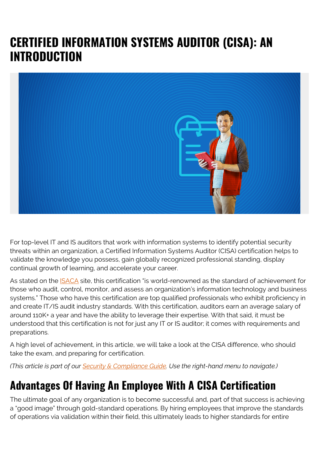# **CERTIFIED INFORMATION SYSTEMS AUDITOR (CISA): AN INTRODUCTION**



For top-level IT and IS auditors that work with information systems to identify potential security threats within an organization, a Certified Information Systems Auditor (CISA) certification helps to validate the knowledge you possess, gain globally recognized professional standing, display continual growth of learning, and accelerate your career.

As stated on the [ISACA](https://www.isaca.org/credentialing/cisa?Appeal=sem&gclid=EAIaIQobChMIw_yO4fyV6wIVm4FaBR27KAqhEAAYASAAEgK86fD_BwE) site, this certification "is world-renowned as the standard of achievement for those who audit, control, monitor, and assess an organization's information technology and business systems." Those who have this certification are top qualified professionals who exhibit proficiency in and create IT/IS audit industry standards. With this certification, auditors earn an average salary of around 110K+ a year and have the ability to leverage their expertise. With that said, it must be understood that this certification is not for just any IT or IS auditor; it comes with requirements and preparations.

A high level of achievement, in this article, we will take a look at the CISA difference, who should take the exam, and preparing for certification.

*(This article is part of our [Security & Compliance Guide](https://blogs.bmc.com/blogs/security-introduction/). Use the right-hand menu to navigate.)*

# **Advantages Of Having An Employee With A CISA Certification**

The ultimate goal of any organization is to become successful and, part of that success is achieving a "good image" through gold-standard operations. By hiring employees that improve the standards of operations via validation within their field, this ultimately leads to higher standards for entire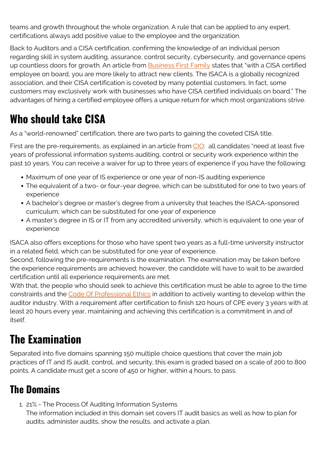teams and growth throughout the whole organization. A rule that can be applied to any expert, certifications always add positive value to the employee and the organization.

Back to Auditors and a CISA certification, confirming the knowledge of an individual person regarding skill in system auditing, assurance, control security, cybersecurity, and governance opens up countless doors for growth. An article from **Business First Family** states that "with a CISA certified employee on board, you are more likely to attract new clients. The ISACA is a globally recognized association, and their CISA certification is coveted by many potential customers. In fact, some customers may exclusively work with businesses who have CISA certified individuals on board." The advantages of hiring a certified employee offers a unique return for which most organizations strive.

#### **Who should take CISA**

As a "world-renowned" certification, there are two parts to gaining the coveted CISA title.

First are the pre-requirements, as explained in an article from [CIO:](https://www.cio.com/article/3387985/cisa-certification-guide-certified-information-systems-auditor-explained.html) all candidates "need at least five years of professional information systems auditing, control or security work experience within the past 10 years. You can receive a waiver for up to three years of experience if you have the following:

- Maximum of one year of IS experience or one year of non-IS auditing experience
- The equivalent of a two- or four-year degree, which can be substituted for one to two years of experience
- A bachelor's degree or master's degree from a university that teaches the ISACA-sponsored curriculum, which can be substituted for one year of experience
- A master's degree in IS or IT from any accredited university, which is equivalent to one year of experience

ISACA also offers exceptions for those who have spent two years as a full-time university instructor in a related field, which can be substituted for one year of experience.

Second, following the pre-requirements is the examination. The examination may be taken before the experience requirements are achieved; however, the candidate will have to wait to be awarded certification until all experience requirements are met.

With that, the people who should seek to achieve this certification must be able to agree to the time constraints and the [Code Of Professional Ethics](https://www.isaca.org/credentialing/code-of-professional-ethics) in addition to actively wanting to develop within the auditor industry. With a requirement after certification to finish 120 hours of CPE every 3 years with at least 20 hours every year, maintaining and achieving this certification is a commitment in and of itself.

# **The Examination**

Separated into five domains spanning 150 multiple choice questions that cover the main job practices of IT and IS audit, control, and security, this exam is graded based on a scale of 200 to 800 points. A candidate must get a score of 450 or higher, within 4 hours, to pass.

#### **The Domains**

1. 21% - The Process Of Auditing Information Systems

The information included in this domain set covers IT audit basics as well as how to plan for audits, administer audits, show the results, and activate a plan.